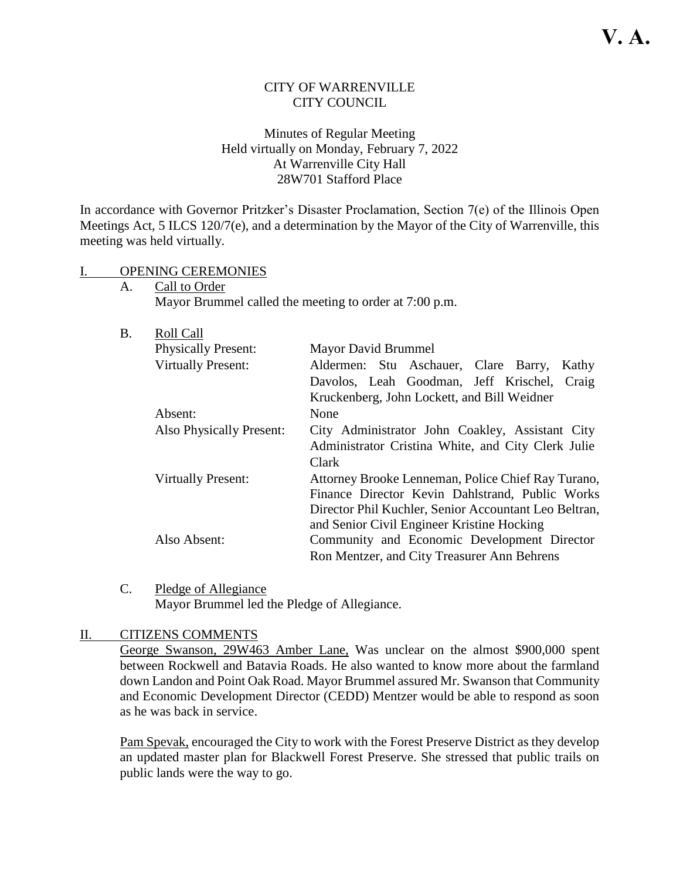### CITY OF WARRENVILLE CITY COUNCIL

### Minutes of Regular Meeting Held virtually on Monday, February 7, 2022 At Warrenville City Hall 28W701 Stafford Place

In accordance with Governor Pritzker's Disaster Proclamation, Section 7(e) of the Illinois Open Meetings Act, 5 ILCS 120/7(e), and a determination by the Mayor of the City of Warrenville, this meeting was held virtually.

#### I. OPENING CEREMONIES

A. Call to Order Mayor Brummel called the meeting to order at 7:00 p.m.

| <b>B.</b> | Roll Call                  |                                                       |
|-----------|----------------------------|-------------------------------------------------------|
|           | <b>Physically Present:</b> | Mayor David Brummel                                   |
|           | <b>Virtually Present:</b>  | Aldermen: Stu Aschauer, Clare Barry,<br>Kathy         |
|           |                            | Davolos, Leah Goodman, Jeff Krischel, Craig           |
|           |                            | Kruckenberg, John Lockett, and Bill Weidner           |
|           | Absent:                    | None                                                  |
|           | Also Physically Present:   | City Administrator John Coakley, Assistant City       |
|           |                            | Administrator Cristina White, and City Clerk Julie    |
|           |                            | Clark                                                 |
|           | <b>Virtually Present:</b>  | Attorney Brooke Lenneman, Police Chief Ray Turano,    |
|           |                            | Finance Director Kevin Dahlstrand, Public Works       |
|           |                            | Director Phil Kuchler, Senior Accountant Leo Beltran, |
|           |                            | and Senior Civil Engineer Kristine Hocking            |
|           | Also Absent:               | Community and Economic Development Director           |
|           |                            | Ron Mentzer, and City Treasurer Ann Behrens           |

C. Pledge of Allegiance Mayor Brummel led the Pledge of Allegiance.

### II. CITIZENS COMMENTS

George Swanson, 29W463 Amber Lane, Was unclear on the almost \$900,000 spent between Rockwell and Batavia Roads. He also wanted to know more about the farmland down Landon and Point Oak Road. Mayor Brummel assured Mr. Swanson that Community and Economic Development Director (CEDD) Mentzer would be able to respond as soon as he was back in service.

Pam Spevak, encouraged the City to work with the Forest Preserve District as they develop an updated master plan for Blackwell Forest Preserve. She stressed that public trails on public lands were the way to go.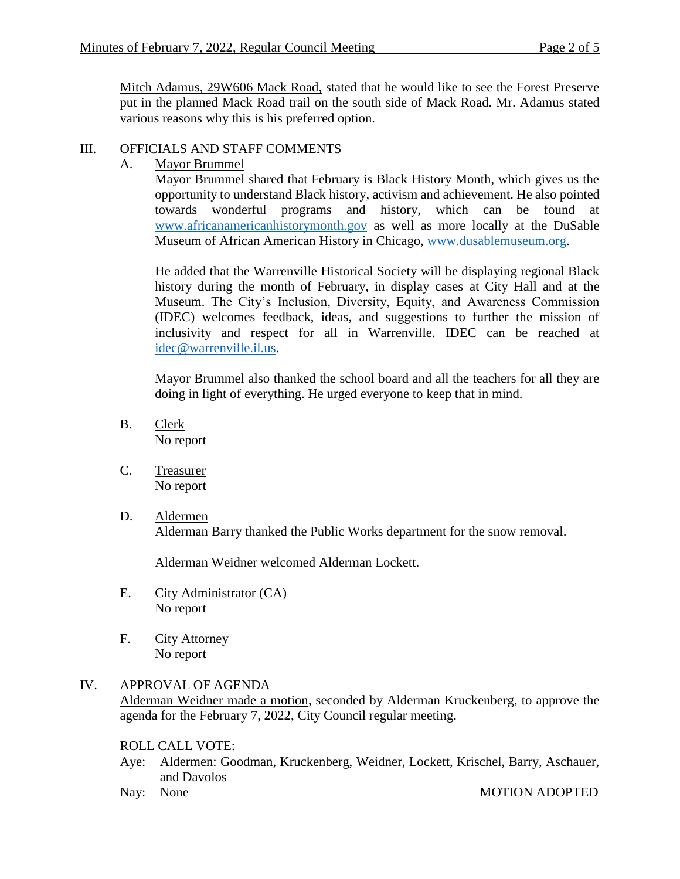Mitch Adamus, 29W606 Mack Road, stated that he would like to see the Forest Preserve put in the planned Mack Road trail on the south side of Mack Road. Mr. Adamus stated various reasons why this is his preferred option.

### III. OFFICIALS AND STAFF COMMENTS

A. Mayor Brummel

Mayor Brummel shared that February is Black History Month, which gives us the opportunity to understand Black history, activism and achievement. He also pointed towards wonderful programs and history, which can be found at [www.africanamericanhistorymonth.gov](http://www.africanamericanhistorymonth.gov/) as well as more locally at the DuSable Museum of African American History in Chicago, [www.dusablemuseum.org.](http://www.dusablemuseum.org/)

He added that the Warrenville Historical Society will be displaying regional Black history during the month of February, in display cases at City Hall and at the Museum. The City's Inclusion, Diversity, Equity, and Awareness Commission (IDEC) welcomes feedback, ideas, and suggestions to further the mission of inclusivity and respect for all in Warrenville. IDEC can be reached at [idec@warrenville.il.us.](mailto:idec@warrenville.il.us)

Mayor Brummel also thanked the school board and all the teachers for all they are doing in light of everything. He urged everyone to keep that in mind.

- B. Clerk No report
- C. Treasurer No report
- D. Aldermen Alderman Barry thanked the Public Works department for the snow removal.

Alderman Weidner welcomed Alderman Lockett.

- E. City Administrator (CA) No report
- F. City Attorney No report

# IV. APPROVAL OF AGENDA

Alderman Weidner made a motion, seconded by Alderman Kruckenberg, to approve the agenda for the February 7, 2022, City Council regular meeting.

### ROLL CALL VOTE:

- Aye: Aldermen: Goodman, Kruckenberg, Weidner, Lockett, Krischel, Barry, Aschauer, and Davolos
- 

Nay: None MOTION ADOPTED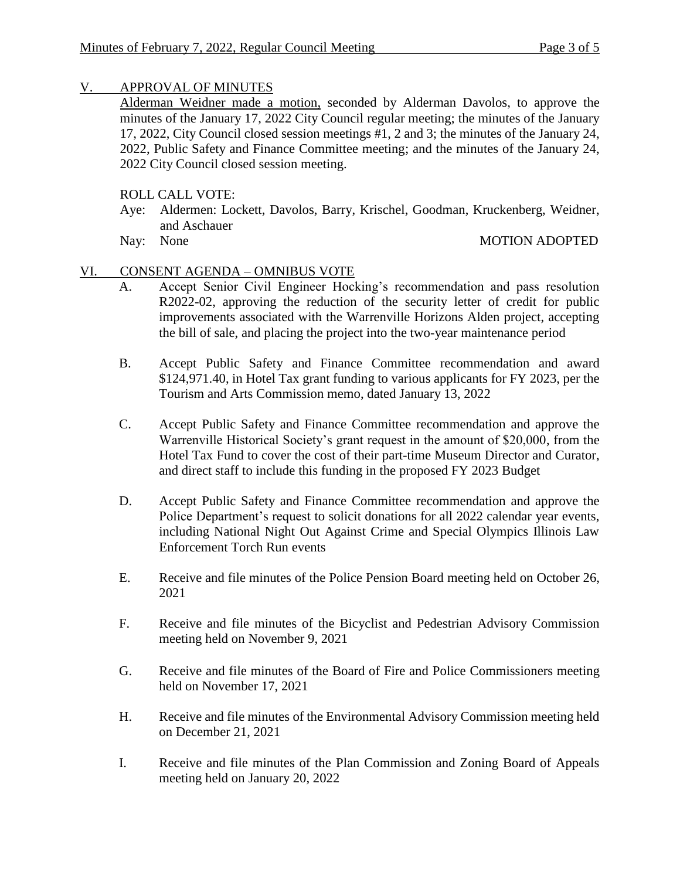### V. APPROVAL OF MINUTES

Alderman Weidner made a motion, seconded by Alderman Davolos, to approve the minutes of the January 17, 2022 City Council regular meeting; the minutes of the January 17, 2022, City Council closed session meetings #1, 2 and 3; the minutes of the January 24, 2022, Public Safety and Finance Committee meeting; and the minutes of the January 24, 2022 City Council closed session meeting.

# ROLL CALL VOTE:

- Aye: Aldermen: Lockett, Davolos, Barry, Krischel, Goodman, Kruckenberg, Weidner, and Aschauer<br>Nay: None
- 

MOTION ADOPTED

## VI. CONSENT AGENDA – OMNIBUS VOTE

- A. Accept Senior Civil Engineer Hocking's recommendation and pass resolution R2022-02, approving the reduction of the security letter of credit for public improvements associated with the Warrenville Horizons Alden project, accepting the bill of sale, and placing the project into the two-year maintenance period
- B. Accept Public Safety and Finance Committee recommendation and award \$124,971.40, in Hotel Tax grant funding to various applicants for FY 2023, per the Tourism and Arts Commission memo, dated January 13, 2022
- C. Accept Public Safety and Finance Committee recommendation and approve the Warrenville Historical Society's grant request in the amount of \$20,000, from the Hotel Tax Fund to cover the cost of their part-time Museum Director and Curator, and direct staff to include this funding in the proposed FY 2023 Budget
- D. Accept Public Safety and Finance Committee recommendation and approve the Police Department's request to solicit donations for all 2022 calendar year events, including National Night Out Against Crime and Special Olympics Illinois Law Enforcement Torch Run events
- E. Receive and file minutes of the Police Pension Board meeting held on October 26, 2021
- F. Receive and file minutes of the Bicyclist and Pedestrian Advisory Commission meeting held on November 9, 2021
- G. Receive and file minutes of the Board of Fire and Police Commissioners meeting held on November 17, 2021
- H. Receive and file minutes of the Environmental Advisory Commission meeting held on December 21, 2021
- I. Receive and file minutes of the Plan Commission and Zoning Board of Appeals meeting held on January 20, 2022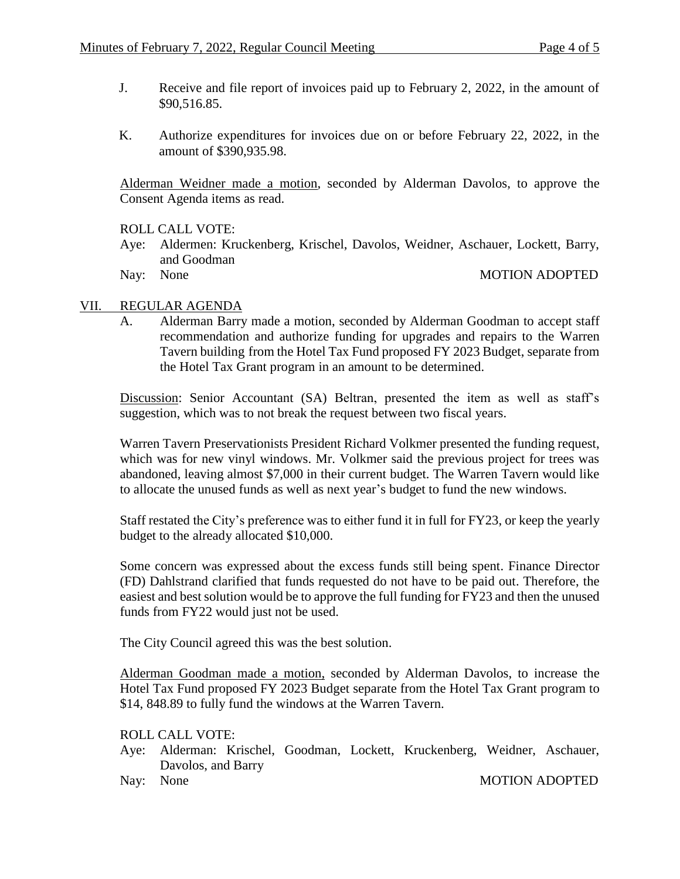- J. Receive and file report of invoices paid up to February 2, 2022, in the amount of \$90,516.85.
- K. Authorize expenditures for invoices due on or before February 22, 2022, in the amount of \$390,935.98.

Alderman Weidner made a motion, seconded by Alderman Davolos, to approve the Consent Agenda items as read.

ROLL CALL VOTE:

- Aye: Aldermen: Kruckenberg, Krischel, Davolos, Weidner, Aschauer, Lockett, Barry, and Goodman
- 

Nay: None MOTION ADOPTED

### VII. REGULAR AGENDA

A. Alderman Barry made a motion, seconded by Alderman Goodman to accept staff recommendation and authorize funding for upgrades and repairs to the Warren Tavern building from the Hotel Tax Fund proposed FY 2023 Budget, separate from the Hotel Tax Grant program in an amount to be determined.

Discussion: Senior Accountant (SA) Beltran, presented the item as well as staff's suggestion, which was to not break the request between two fiscal years.

Warren Tavern Preservationists President Richard Volkmer presented the funding request, which was for new vinyl windows. Mr. Volkmer said the previous project for trees was abandoned, leaving almost \$7,000 in their current budget. The Warren Tavern would like to allocate the unused funds as well as next year's budget to fund the new windows.

Staff restated the City's preference was to either fund it in full for FY23, or keep the yearly budget to the already allocated \$10,000.

Some concern was expressed about the excess funds still being spent. Finance Director (FD) Dahlstrand clarified that funds requested do not have to be paid out. Therefore, the easiest and best solution would be to approve the full funding for FY23 and then the unused funds from FY22 would just not be used.

The City Council agreed this was the best solution.

Alderman Goodman made a motion, seconded by Alderman Davolos, to increase the Hotel Tax Fund proposed FY 2023 Budget separate from the Hotel Tax Grant program to \$14, 848.89 to fully fund the windows at the Warren Tavern.

ROLL CALL VOTE:

Aye: Alderman: Krischel, Goodman, Lockett, Kruckenberg, Weidner, Aschauer, Davolos, and Barry

Nay: None MOTION ADOPTED